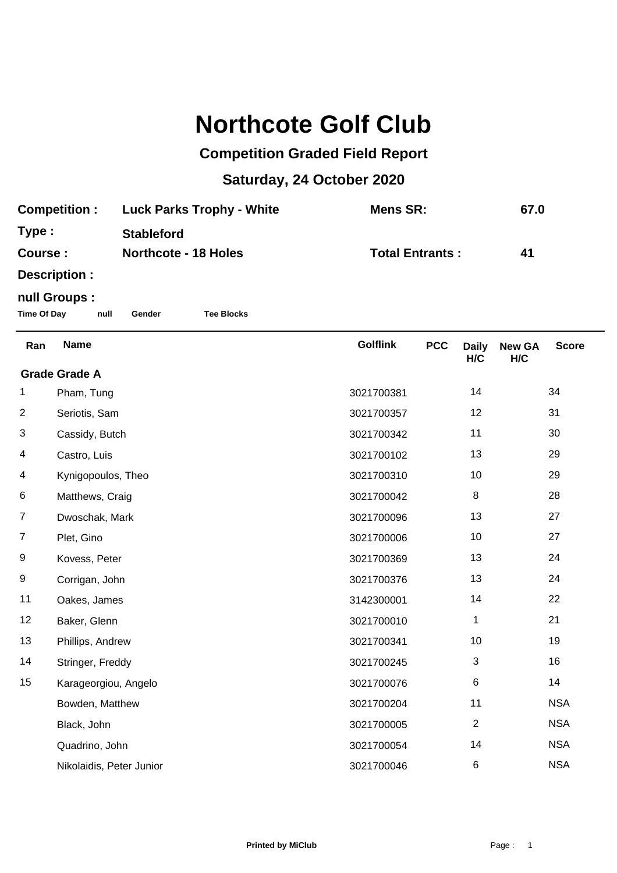## **Northcote Golf Club**

## **Competition Graded Field Report**

## **Saturday, 24 October 2020**

| <b>Competition:</b> | <b>Luck Parks Trophy - White</b> | Mens SR:               | 67.0 |
|---------------------|----------------------------------|------------------------|------|
| Type:               | <b>Stableford</b>                |                        |      |
| Course :            | <b>Northcote - 18 Holes</b>      | <b>Total Entrants:</b> | 41   |
| Docorintion,        |                                  |                        |      |

**Description :**

## **null Groups :**

**Time Of Day null Gender Tee Blocks**

| Ran                  | <b>Name</b>              | <b>Golflink</b> | <b>PCC</b> | <b>Daily</b><br>H/C | <b>New GA</b><br>H/C | <b>Score</b> |
|----------------------|--------------------------|-----------------|------------|---------------------|----------------------|--------------|
| <b>Grade Grade A</b> |                          |                 |            |                     |                      |              |
| 1                    | Pham, Tung               | 3021700381      |            | 14                  |                      | 34           |
| $\overline{c}$       | Seriotis, Sam            | 3021700357      |            | 12                  |                      | 31           |
| 3                    | Cassidy, Butch           | 3021700342      |            | 11                  |                      | 30           |
| 4                    | Castro, Luis             | 3021700102      |            | 13                  |                      | 29           |
| 4                    | Kynigopoulos, Theo       | 3021700310      |            | 10                  |                      | 29           |
| 6                    | Matthews, Craig          | 3021700042      |            | 8                   |                      | 28           |
| $\overline{7}$       | Dwoschak, Mark           | 3021700096      |            | 13                  |                      | 27           |
| 7                    | Plet, Gino               | 3021700006      |            | 10                  |                      | 27           |
| 9                    | Kovess, Peter            | 3021700369      |            | 13                  |                      | 24           |
| 9                    | Corrigan, John           | 3021700376      |            | 13                  |                      | 24           |
| 11                   | Oakes, James             | 3142300001      |            | 14                  |                      | 22           |
| 12                   | Baker, Glenn             | 3021700010      |            | 1                   |                      | 21           |
| 13                   | Phillips, Andrew         | 3021700341      |            | 10                  |                      | 19           |
| 14                   | Stringer, Freddy         | 3021700245      |            | 3                   |                      | 16           |
| 15                   | Karageorgiou, Angelo     | 3021700076      |            | 6                   |                      | 14           |
|                      | Bowden, Matthew          | 3021700204      |            | 11                  |                      | <b>NSA</b>   |
|                      | Black, John              | 3021700005      |            | $\overline{2}$      |                      | <b>NSA</b>   |
|                      | Quadrino, John           | 3021700054      |            | 14                  |                      | <b>NSA</b>   |
|                      | Nikolaidis, Peter Junior | 3021700046      |            | 6                   |                      | <b>NSA</b>   |